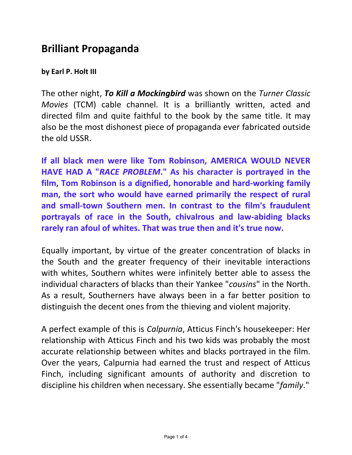## **Brilliant Propaganda**

## **by Earl P. Holt III**

The other night, *To Kill a Mockingbird* was shown on the *Turner Classic Movies* (TCM) cable channel. It is a brilliantly written, acted and directed film and quite faithful to the book by the same title. It may also be the most dishonest piece of propaganda ever fabricated outside the old USSR.

**If all black men were like Tom Robinson, AMERICA WOULD NEVER HAVE HAD A "***RACE PROBLEM***." As his character is portrayed in the film, Tom Robinson is a dignified, honorable and hard-working family man, the sort who would have earned primarily the respect of rural and small-town Southern men. In contrast to the film's fraudulent portrayals of race in the South, chivalrous and law-abiding blacks rarely ran afoul of whites. That was true then and it's true now.** 

Equally important, by virtue of the greater concentration of blacks in the South and the greater frequency of their inevitable interactions with whites, Southern whites were infinitely better able to assess the individual characters of blacks than their Yankee "*cousins*" in the North. As a result, Southerners have always been in a far better position to distinguish the decent ones from the thieving and violent majority.

A perfect example of this is *Calpurnia*, Atticus Finch's housekeeper: Her relationship with Atticus Finch and his two kids was probably the most accurate relationship between whites and blacks portrayed in the film. Over the years, Calpurnia had earned the trust and respect of Atticus Finch, including significant amounts of authority and discretion to discipline his children when necessary. She essentially became "*family*."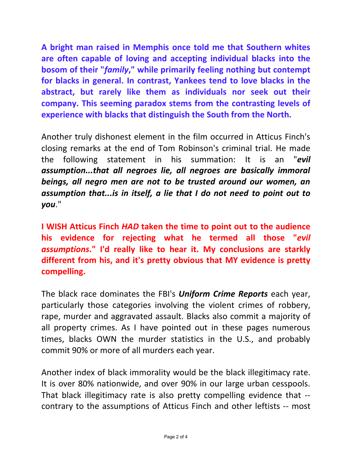**A bright man raised in Memphis once told me that Southern whites are often capable of loving and accepting individual blacks into the bosom of their "***family***," while primarily feeling nothing but contempt for blacks in general. In contrast, Yankees tend to love blacks in the abstract, but rarely like them as individuals nor seek out their company. This seeming paradox stems from the contrasting levels of experience with blacks that distinguish the South from the North.** 

Another truly dishonest element in the film occurred in Atticus Finch's closing remarks at the end of Tom Robinson's criminal trial. He made the following statement in his summation: It is an "*evil assumption...that all negroes lie, all negroes are basically immoral beings, all negro men are not to be trusted around our women, an assumption that...is in itself, a lie that I do not need to point out to you*."

**I WISH Atticus Finch** *HAD* **taken the time to point out to the audience his evidence for rejecting what he termed all those "***evil assumptions***." I'd really like to hear it. My conclusions are starkly different from his, and it's pretty obvious that MY evidence is pretty compelling.** 

The black race dominates the FBI's *Uniform Crime Reports* each year, particularly those categories involving the violent crimes of robbery, rape, murder and aggravated assault. Blacks also commit a majority of all property crimes. As I have pointed out in these pages numerous times, blacks OWN the murder statistics in the U.S., and probably commit 90% or more of all murders each year.

Another index of black immorality would be the black illegitimacy rate. It is over 80% nationwide, and over 90% in our large urban cesspools. That black illegitimacy rate is also pretty compelling evidence that - contrary to the assumptions of Atticus Finch and other leftists -- most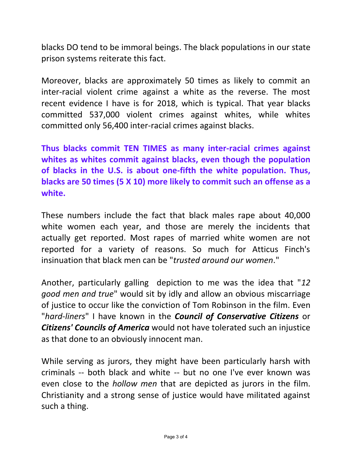blacks DO tend to be immoral beings. The black populations in our state prison systems reiterate this fact.

Moreover, blacks are approximately 50 times as likely to commit an inter-racial violent crime against a white as the reverse. The most recent evidence I have is for 2018, which is typical. That year blacks committed 537,000 violent crimes against whites, while whites committed only 56,400 inter-racial crimes against blacks.

**Thus blacks commit TEN TIMES as many inter-racial crimes against whites as whites commit against blacks, even though the population of blacks in the U.S. is about one-fifth the white population. Thus, blacks are 50 times (5 X 10) more likely to commit such an offense as a white.** 

These numbers include the fact that black males rape about 40,000 white women each year, and those are merely the incidents that actually get reported. Most rapes of married white women are not reported for a variety of reasons. So much for Atticus Finch's insinuation that black men can be "*trusted around our women*."

Another, particularly galling depiction to me was the idea that "*12 good men and true*" would sit by idly and allow an obvious miscarriage of justice to occur like the conviction of Tom Robinson in the film. Even "*hard-liners*" I have known in the *Council of Conservative Citizens* or *Citizens' Councils of America* would not have tolerated such an injustice as that done to an obviously innocent man.

While serving as jurors, they might have been particularly harsh with criminals -- both black and white -- but no one I've ever known was even close to the *hollow men* that are depicted as jurors in the film. Christianity and a strong sense of justice would have militated against such a thing.